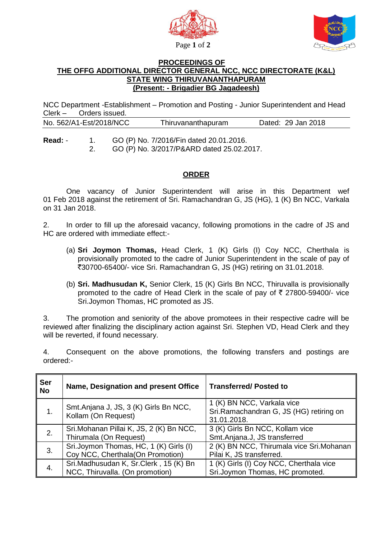



## **PROCEEDINGS OF THE OFFG ADDITIONAL DIRECTOR GENERAL NCC, NCC DIRECTORATE (K&L) STATE WING THIRUVANANTHAPURAM (Present: - Brigadier BG Jagadeesh)**

NCC Department -Establishment – Promotion and Posting - Junior Superintendent and Head Clerk – Orders issued.

| No. 562/A1-Est/2018/NCC | Thiruvananthapuram | Dated: 29 Jan 2018 |
|-------------------------|--------------------|--------------------|
|-------------------------|--------------------|--------------------|

**Read:** - 1. GO (P) No. 7/2016/Fin dated 20.01.2016. 2. GO (P) No. 3/2017/P&ARD dated 25.02.2017.

## **ORDER**

 One vacancy of Junior Superintendent will arise in this Department wef 01 Feb 2018 against the retirement of Sri. Ramachandran G, JS (HG), 1 (K) Bn NCC, Varkala on 31 Jan 2018.

2. In order to fill up the aforesaid vacancy, following promotions in the cadre of JS and HC are ordered with immediate effect:-

- (a) **Sri Joymon Thomas,** Head Clerk, 1 (K) Girls (I) Coy NCC, Cherthala is provisionally promoted to the cadre of Junior Superintendent in the scale of pay of `30700-65400/- vice Sri. Ramachandran G, JS (HG) retiring on 31.01.2018.
- (b) **Sri. Madhusudan K,** Senior Clerk, 15 (K) Girls Bn NCC, Thiruvalla is provisionally promoted to the cadre of Head Clerk in the scale of pay of  $\bar{\tau}$  27800-59400/- vice Sri.Joymon Thomas, HC promoted as JS.

3. The promotion and seniority of the above promotees in their respective cadre will be reviewed after finalizing the disciplinary action against Sri. Stephen VD, Head Clerk and they will be reverted, if found necessary.

4. Consequent on the above promotions, the following transfers and postings are ordered:-

| <b>Ser</b><br><b>No</b> | Name, Designation and present Office                                        | <b>Transferred/Posted to</b>                                                         |
|-------------------------|-----------------------------------------------------------------------------|--------------------------------------------------------------------------------------|
|                         | Smt.Anjana J, JS, 3 (K) Girls Bn NCC,<br>Kollam (On Request)                | 1 (K) BN NCC, Varkala vice<br>Sri.Ramachandran G, JS (HG) retiring on<br>31.01.2018. |
| 2.                      | Sri.Mohanan Pillai K, JS, 2 (K) Bn NCC,<br>Thirumala (On Request)           | 3 (K) Girls Bn NCC, Kollam vice<br>Smt.Anjana.J, JS transferred                      |
| 3.                      | Sri.Joymon Thomas, HC, 1 (K) Girls (I)<br>Coy NCC, Cherthala (On Promotion) | 2 (K) BN NCC, Thirumala vice Sri.Mohanan<br>Pilai K, JS transferred.                 |
|                         | Sri.Madhusudan K, Sr.Clerk, 15 (K) Bn<br>NCC, Thiruvalla. (On promotion)    | 1 (K) Girls (I) Coy NCC, Cherthala vice<br>Sri.Joymon Thomas, HC promoted.           |